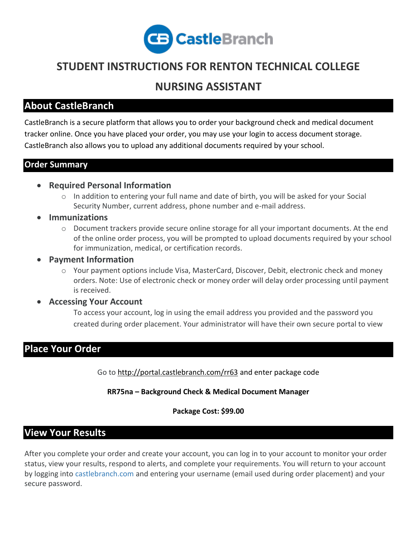

# **STUDENT INSTRUCTIONS FOR RENTON TECHNICAL COLLEGE**

## **NURSING ASSISTANT**

### **About CastleBranch**

CastleBranch is a secure platform that allows you to order your background check and medical document tracker online. Once you have placed your order, you may use your login to access document storage. CastleBranch also allows you to upload any additional documents required by your school.

#### **Order Summary**

- **Required Personal Information**
	- $\circ$  In addition to entering your full name and date of birth, you will be asked for your Social Security Number, current address, phone number and e-mail address.
- **Immunizations**
	- o Document trackers provide secure online storage for all your important documents. At the end of the online order process, you will be prompted to upload documents required by your school for immunization, medical, or certification records.
- **Payment Information**
	- o Your payment options include Visa, MasterCard, Discover, Debit, electronic check and money orders. Note: Use of electronic check or money order will delay order processing until payment is received.
- **Accessing Your Account**

To access your account, log in using the email address you provided and the password you created during order placement. Your administrator will have their own secure portal to view

## **Place Your Order**

Go to<http://portal.castlebranch.com/rr63> and enter package code

**RR75na – Background Check & Medical Document Manager**

**Package Cost: \$99.00**

## **View Your Results**

After you complete your order and create your account, you can log in to your account to monitor your order status, view your results, respond to alerts, and complete your requirements. You will return to your account by logging into [castlebranch.com](https://castlebranch.com/) and entering your username (email used during order placement) and your secure password.